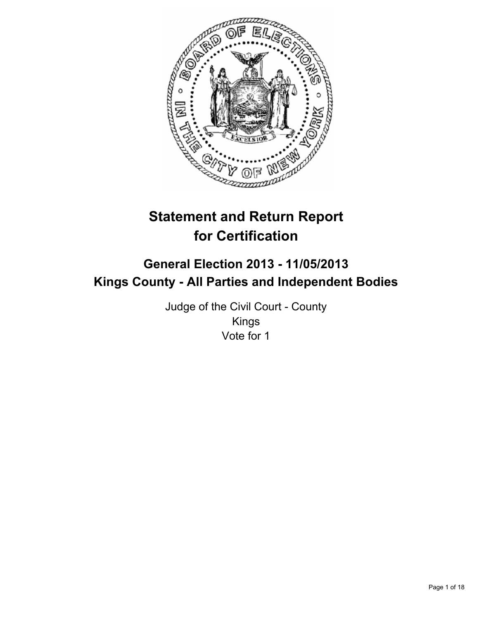

# **Statement and Return Report for Certification**

## **General Election 2013 - 11/05/2013 Kings County - All Parties and Independent Bodies**

Judge of the Civil Court - County Kings Vote for 1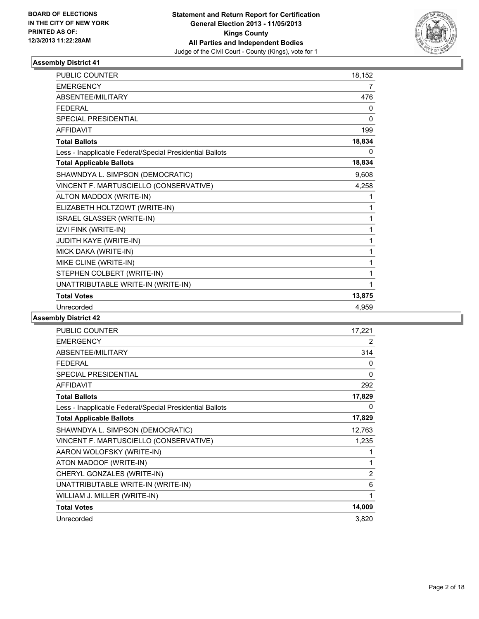

| <b>PUBLIC COUNTER</b>                                    | 18,152       |
|----------------------------------------------------------|--------------|
| <b>EMERGENCY</b>                                         | 7            |
| <b>ABSENTEE/MILITARY</b>                                 | 476          |
| <b>FEDERAL</b>                                           | 0            |
| <b>SPECIAL PRESIDENTIAL</b>                              | $\mathbf{0}$ |
| <b>AFFIDAVIT</b>                                         | 199          |
| <b>Total Ballots</b>                                     | 18,834       |
| Less - Inapplicable Federal/Special Presidential Ballots | 0            |
| <b>Total Applicable Ballots</b>                          | 18,834       |
| SHAWNDYA L. SIMPSON (DEMOCRATIC)                         | 9,608        |
| VINCENT F. MARTUSCIELLO (CONSERVATIVE)                   | 4,258        |
| ALTON MADDOX (WRITE-IN)                                  | 1            |
| ELIZABETH HOLTZOWT (WRITE-IN)                            | 1            |
| ISRAEL GLASSER (WRITE-IN)                                | 1            |
| IZVI FINK (WRITE-IN)                                     | 1            |
| JUDITH KAYE (WRITE-IN)                                   | 1            |
| MICK DAKA (WRITE-IN)                                     | 1            |
| MIKE CLINE (WRITE-IN)                                    | 1            |
| STEPHEN COLBERT (WRITE-IN)                               | 1            |
| UNATTRIBUTABLE WRITE-IN (WRITE-IN)                       | 1            |
| <b>Total Votes</b>                                       | 13,875       |
| Unrecorded                                               | 4,959        |

| <b>PUBLIC COUNTER</b>                                    | 17,221         |
|----------------------------------------------------------|----------------|
| <b>EMERGENCY</b>                                         | 2              |
| ABSENTEE/MILITARY                                        | 314            |
| <b>FEDERAL</b>                                           | 0              |
| <b>SPECIAL PRESIDENTIAL</b>                              | 0              |
| AFFIDAVIT                                                | 292            |
| <b>Total Ballots</b>                                     | 17,829         |
| Less - Inapplicable Federal/Special Presidential Ballots | 0              |
| <b>Total Applicable Ballots</b>                          | 17,829         |
| SHAWNDYA L. SIMPSON (DEMOCRATIC)                         | 12,763         |
| VINCENT F. MARTUSCIELLO (CONSERVATIVE)                   | 1,235          |
| AARON WOLOFSKY (WRITE-IN)                                | 1              |
| ATON MADOOF (WRITE-IN)                                   | 1              |
| CHERYL GONZALES (WRITE-IN)                               | $\overline{2}$ |
| UNATTRIBUTABLE WRITE-IN (WRITE-IN)                       | 6              |
| WILLIAM J. MILLER (WRITE-IN)                             | 1              |
| <b>Total Votes</b>                                       | 14,009         |
| Unrecorded                                               | 3,820          |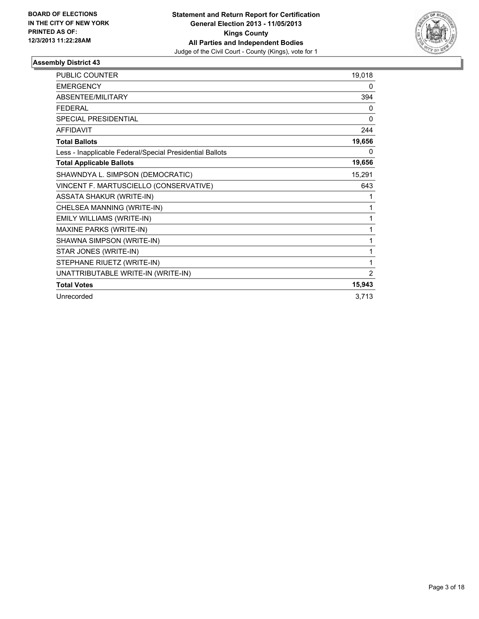

| PUBLIC COUNTER                                           | 19,018 |
|----------------------------------------------------------|--------|
| <b>EMERGENCY</b>                                         | 0      |
| ABSENTEE/MILITARY                                        | 394    |
| <b>FEDERAL</b>                                           | 0      |
| <b>SPECIAL PRESIDENTIAL</b>                              | 0      |
| <b>AFFIDAVIT</b>                                         | 244    |
| <b>Total Ballots</b>                                     | 19,656 |
| Less - Inapplicable Federal/Special Presidential Ballots | 0      |
| <b>Total Applicable Ballots</b>                          | 19,656 |
| SHAWNDYA L. SIMPSON (DEMOCRATIC)                         | 15,291 |
| VINCENT F. MARTUSCIELLO (CONSERVATIVE)                   | 643    |
| <b>ASSATA SHAKUR (WRITE-IN)</b>                          | 1      |
| CHELSEA MANNING (WRITE-IN)                               | 1      |
| EMILY WILLIAMS (WRITE-IN)                                | 1      |
| MAXINE PARKS (WRITE-IN)                                  | 1      |
| SHAWNA SIMPSON (WRITE-IN)                                | 1      |
| STAR JONES (WRITE-IN)                                    | 1      |
| STEPHANE RIUETZ (WRITE-IN)                               | 1      |
| UNATTRIBUTABLE WRITE-IN (WRITE-IN)                       | 2      |
| <b>Total Votes</b>                                       | 15,943 |
| Unrecorded                                               | 3,713  |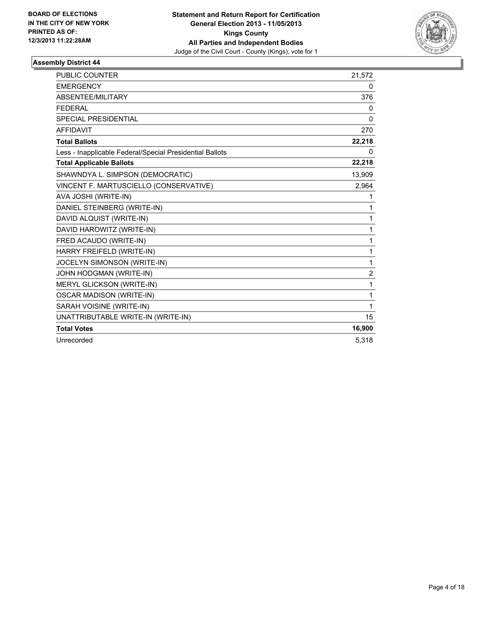

| PUBLIC COUNTER                                           | 21,572       |
|----------------------------------------------------------|--------------|
| <b>EMERGENCY</b>                                         | 0            |
| ABSENTEE/MILITARY                                        | 376          |
| <b>FEDERAL</b>                                           | 0            |
| <b>SPECIAL PRESIDENTIAL</b>                              | $\mathbf{0}$ |
| <b>AFFIDAVIT</b>                                         | 270          |
| <b>Total Ballots</b>                                     | 22,218       |
| Less - Inapplicable Federal/Special Presidential Ballots | 0            |
| <b>Total Applicable Ballots</b>                          | 22,218       |
| SHAWNDYA L. SIMPSON (DEMOCRATIC)                         | 13,909       |
| VINCENT F. MARTUSCIELLO (CONSERVATIVE)                   | 2,964        |
| AVA JOSHI (WRITE-IN)                                     | 1            |
| DANIEL STEINBERG (WRITE-IN)                              | 1            |
| DAVID ALQUIST (WRITE-IN)                                 | 1            |
| DAVID HAROWITZ (WRITE-IN)                                | 1            |
| FRED ACAUDO (WRITE-IN)                                   | 1            |
| HARRY FREIFELD (WRITE-IN)                                | 1            |
| JOCELYN SIMONSON (WRITE-IN)                              | 1            |
| JOHN HODGMAN (WRITE-IN)                                  | 2            |
| <b>MERYL GLICKSON (WRITE-IN)</b>                         | 1            |
| <b>OSCAR MADISON (WRITE-IN)</b>                          | 1            |
| SARAH VOISINE (WRITE-IN)                                 | 1            |
| UNATTRIBUTABLE WRITE-IN (WRITE-IN)                       | 15           |
| <b>Total Votes</b>                                       | 16,900       |
| Unrecorded                                               | 5,318        |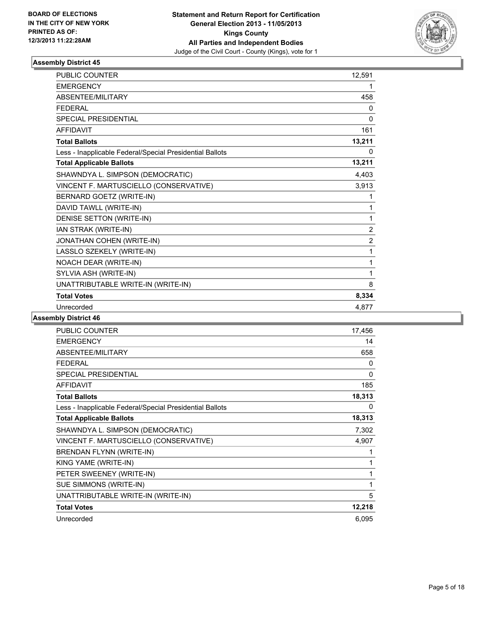

| <b>PUBLIC COUNTER</b>                                    | 12,591         |
|----------------------------------------------------------|----------------|
| <b>EMERGENCY</b>                                         | 1              |
| ABSENTEE/MILITARY                                        | 458            |
| <b>FEDERAL</b>                                           | 0              |
| <b>SPECIAL PRESIDENTIAL</b>                              | 0              |
| <b>AFFIDAVIT</b>                                         | 161            |
| <b>Total Ballots</b>                                     | 13,211         |
| Less - Inapplicable Federal/Special Presidential Ballots | 0              |
| <b>Total Applicable Ballots</b>                          | 13,211         |
| SHAWNDYA L. SIMPSON (DEMOCRATIC)                         | 4,403          |
| VINCENT F. MARTUSCIELLO (CONSERVATIVE)                   | 3,913          |
| BERNARD GOETZ (WRITE-IN)                                 | 1              |
| DAVID TAWLL (WRITE-IN)                                   | 1              |
| DENISE SETTON (WRITE-IN)                                 | 1              |
| IAN STRAK (WRITE-IN)                                     | $\overline{2}$ |
| JONATHAN COHEN (WRITE-IN)                                | $\overline{2}$ |
| LASSLO SZEKELY (WRITE-IN)                                | 1              |
| NOACH DEAR (WRITE-IN)                                    | 1              |
| SYLVIA ASH (WRITE-IN)                                    | 1              |
| UNATTRIBUTABLE WRITE-IN (WRITE-IN)                       | 8              |
| <b>Total Votes</b>                                       | 8,334          |
| Unrecorded                                               | 4,877          |

| <b>PUBLIC COUNTER</b>                                    | 17,456 |
|----------------------------------------------------------|--------|
| <b>EMERGENCY</b>                                         | 14     |
| ABSENTEE/MILITARY                                        | 658    |
| <b>FEDERAL</b>                                           | 0      |
| <b>SPECIAL PRESIDENTIAL</b>                              | 0      |
| <b>AFFIDAVIT</b>                                         | 185    |
| <b>Total Ballots</b>                                     | 18,313 |
| Less - Inapplicable Federal/Special Presidential Ballots | 0      |
| <b>Total Applicable Ballots</b>                          | 18,313 |
| SHAWNDYA L. SIMPSON (DEMOCRATIC)                         | 7,302  |
| VINCENT F. MARTUSCIELLO (CONSERVATIVE)                   | 4,907  |
| BRENDAN FLYNN (WRITE-IN)                                 | 1      |
| KING YAME (WRITE-IN)                                     | 1      |
| PETER SWEENEY (WRITE-IN)                                 | 1      |
| SUE SIMMONS (WRITE-IN)                                   | 1      |
| UNATTRIBUTABLE WRITE-IN (WRITE-IN)                       | 5      |
| <b>Total Votes</b>                                       | 12,218 |
| Unrecorded                                               | 6,095  |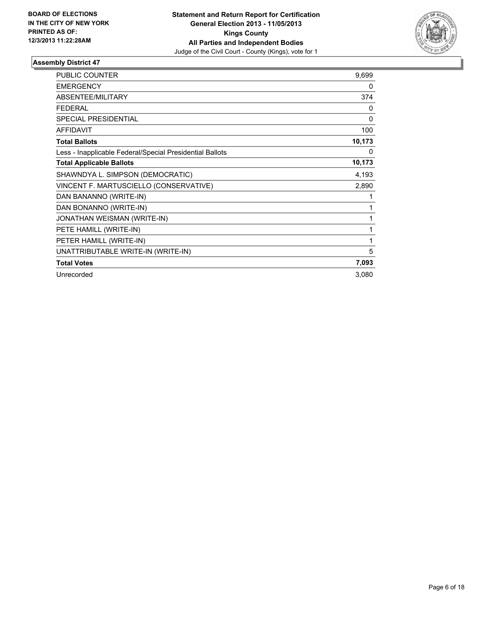

| <b>PUBLIC COUNTER</b>                                    | 9,699    |
|----------------------------------------------------------|----------|
| <b>EMERGENCY</b>                                         | 0        |
| <b>ABSENTEE/MILITARY</b>                                 | 374      |
| <b>FEDERAL</b>                                           | 0        |
| SPECIAL PRESIDENTIAL                                     | 0        |
| <b>AFFIDAVIT</b>                                         | 100      |
| <b>Total Ballots</b>                                     | 10,173   |
| Less - Inapplicable Federal/Special Presidential Ballots | $\Omega$ |
| <b>Total Applicable Ballots</b>                          | 10,173   |
| SHAWNDYA L. SIMPSON (DEMOCRATIC)                         | 4,193    |
| VINCENT F. MARTUSCIELLO (CONSERVATIVE)                   | 2,890    |
| DAN BANANNO (WRITE-IN)                                   | 1        |
| DAN BONANNO (WRITE-IN)                                   | 1        |
| JONATHAN WEISMAN (WRITE-IN)                              | 1        |
| PETE HAMILL (WRITE-IN)                                   | 1        |
| PETER HAMILL (WRITE-IN)                                  | 1        |
| UNATTRIBUTABLE WRITE-IN (WRITE-IN)                       | 5        |
| <b>Total Votes</b>                                       | 7,093    |
| Unrecorded                                               | 3,080    |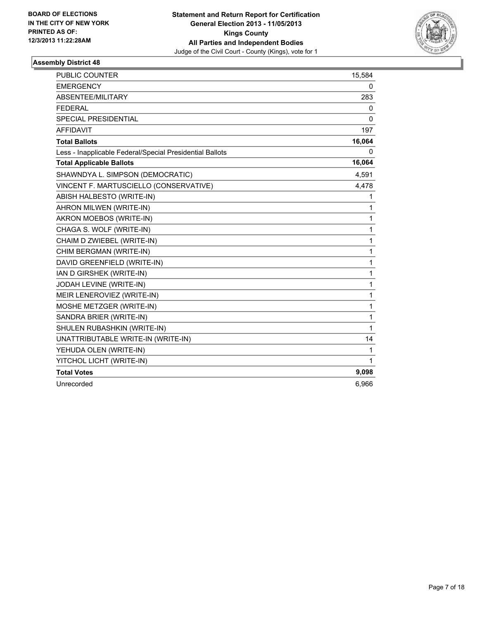

| <b>PUBLIC COUNTER</b>                                    | 15,584       |
|----------------------------------------------------------|--------------|
| <b>EMERGENCY</b>                                         | 0            |
| ABSENTEE/MILITARY                                        | 283          |
| <b>FEDERAL</b>                                           | 0            |
| <b>SPECIAL PRESIDENTIAL</b>                              | $\mathbf{0}$ |
| <b>AFFIDAVIT</b>                                         | 197          |
| <b>Total Ballots</b>                                     | 16,064       |
| Less - Inapplicable Federal/Special Presidential Ballots | 0            |
| <b>Total Applicable Ballots</b>                          | 16,064       |
| SHAWNDYA L. SIMPSON (DEMOCRATIC)                         | 4,591        |
| VINCENT F. MARTUSCIELLO (CONSERVATIVE)                   | 4,478        |
| ABISH HALBESTO (WRITE-IN)                                | 1            |
| AHRON MILWEN (WRITE-IN)                                  | 1            |
| AKRON MOEBOS (WRITE-IN)                                  | 1            |
| CHAGA S. WOLF (WRITE-IN)                                 | 1            |
| CHAIM D ZWIEBEL (WRITE-IN)                               | 1            |
| CHIM BERGMAN (WRITE-IN)                                  | 1            |
| DAVID GREENFIELD (WRITE-IN)                              | 1            |
| IAN D GIRSHEK (WRITE-IN)                                 | 1            |
| JODAH LEVINE (WRITE-IN)                                  | 1            |
| MEIR LENEROVIEZ (WRITE-IN)                               | 1            |
| MOSHE METZGER (WRITE-IN)                                 | 1            |
| SANDRA BRIER (WRITE-IN)                                  | 1            |
| SHULEN RUBASHKIN (WRITE-IN)                              | 1            |
| UNATTRIBUTABLE WRITE-IN (WRITE-IN)                       | 14           |
| YEHUDA OLEN (WRITE-IN)                                   | 1            |
| YITCHOL LICHT (WRITE-IN)                                 | 1            |
| <b>Total Votes</b>                                       | 9,098        |
| Unrecorded                                               | 6,966        |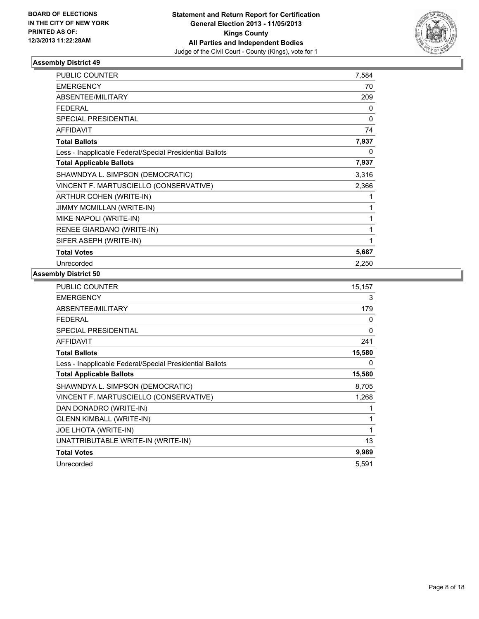

| <b>PUBLIC COUNTER</b>                                    | 7,584 |
|----------------------------------------------------------|-------|
| <b>EMERGENCY</b>                                         | 70    |
| ABSENTEE/MILITARY                                        | 209   |
| <b>FEDERAL</b>                                           | 0     |
| SPECIAL PRESIDENTIAL                                     | 0     |
| <b>AFFIDAVIT</b>                                         | 74    |
| <b>Total Ballots</b>                                     | 7,937 |
| Less - Inapplicable Federal/Special Presidential Ballots | 0     |
| <b>Total Applicable Ballots</b>                          | 7,937 |
| SHAWNDYA L. SIMPSON (DEMOCRATIC)                         | 3,316 |
| VINCENT F. MARTUSCIELLO (CONSERVATIVE)                   | 2,366 |
| ARTHUR COHEN (WRITE-IN)                                  | 1     |
| JIMMY MCMILLAN (WRITE-IN)                                | 1     |
| MIKE NAPOLI (WRITE-IN)                                   | 1     |
| RENEE GIARDANO (WRITE-IN)                                | 1     |
| SIFER ASEPH (WRITE-IN)                                   | 1     |
| <b>Total Votes</b>                                       | 5,687 |
| Unrecorded                                               | 2,250 |

| PUBLIC COUNTER                                           | 15,157   |
|----------------------------------------------------------|----------|
| <b>EMERGENCY</b>                                         | 3        |
| ABSENTEE/MILITARY                                        | 179      |
| <b>FEDERAL</b>                                           | 0        |
| SPECIAL PRESIDENTIAL                                     | $\Omega$ |
| <b>AFFIDAVIT</b>                                         | 241      |
| <b>Total Ballots</b>                                     | 15,580   |
| Less - Inapplicable Federal/Special Presidential Ballots | 0        |
| <b>Total Applicable Ballots</b>                          | 15,580   |
| SHAWNDYA L. SIMPSON (DEMOCRATIC)                         | 8,705    |
| VINCENT F. MARTUSCIELLO (CONSERVATIVE)                   | 1,268    |
| DAN DONADRO (WRITE-IN)                                   | 1        |
| <b>GLENN KIMBALL (WRITE-IN)</b>                          | 1        |
| JOE LHOTA (WRITE-IN)                                     | 1        |
| UNATTRIBUTABLE WRITE-IN (WRITE-IN)                       | 13       |
| <b>Total Votes</b>                                       | 9,989    |
| Unrecorded                                               | 5,591    |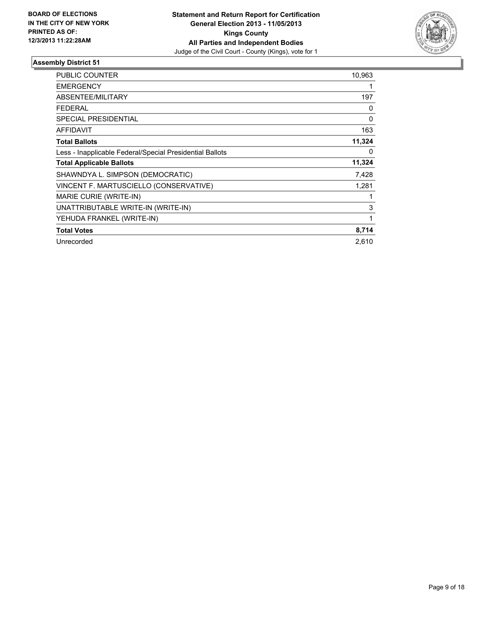

| <b>PUBLIC COUNTER</b>                                    | 10,963   |
|----------------------------------------------------------|----------|
| <b>EMERGENCY</b>                                         |          |
| <b>ABSENTEE/MILITARY</b>                                 | 197      |
| <b>FEDERAL</b>                                           | 0        |
| SPECIAL PRESIDENTIAL                                     | 0        |
| <b>AFFIDAVIT</b>                                         | 163      |
| <b>Total Ballots</b>                                     | 11,324   |
| Less - Inapplicable Federal/Special Presidential Ballots | $\Omega$ |
| <b>Total Applicable Ballots</b>                          | 11,324   |
| SHAWNDYA L. SIMPSON (DEMOCRATIC)                         | 7,428    |
| VINCENT F. MARTUSCIELLO (CONSERVATIVE)                   | 1,281    |
| MARIE CURIE (WRITE-IN)                                   |          |
| UNATTRIBUTABLE WRITE-IN (WRITE-IN)                       | 3        |
| YEHUDA FRANKEL (WRITE-IN)                                | 1        |
| <b>Total Votes</b>                                       | 8,714    |
| Unrecorded                                               | 2.610    |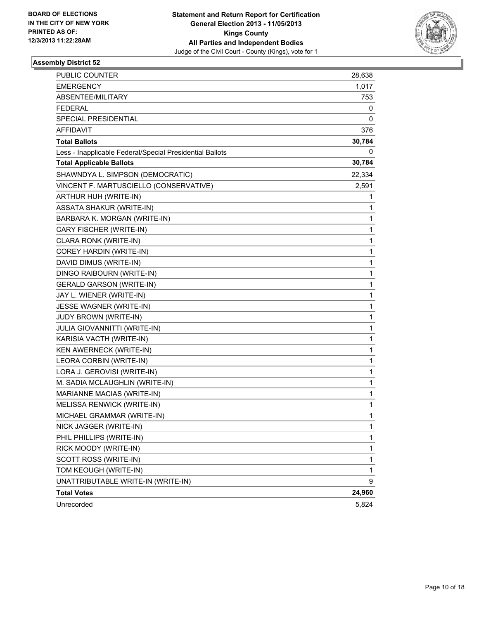

| PUBLIC COUNTER                                           | 28,638       |
|----------------------------------------------------------|--------------|
| <b>EMERGENCY</b>                                         | 1,017        |
| ABSENTEE/MILITARY                                        | 753          |
| FEDERAL                                                  | 0            |
| SPECIAL PRESIDENTIAL                                     | 0            |
| AFFIDAVIT                                                | 376          |
| <b>Total Ballots</b>                                     | 30,784       |
| Less - Inapplicable Federal/Special Presidential Ballots | 0            |
| <b>Total Applicable Ballots</b>                          | 30,784       |
| SHAWNDYA L. SIMPSON (DEMOCRATIC)                         | 22,334       |
| VINCENT F. MARTUSCIELLO (CONSERVATIVE)                   | 2,591        |
| ARTHUR HUH (WRITE-IN)                                    | 1            |
| ASSATA SHAKUR (WRITE-IN)                                 | 1            |
| BARBARA K. MORGAN (WRITE-IN)                             | 1            |
| CARY FISCHER (WRITE-IN)                                  | 1            |
| CLARA RONK (WRITE-IN)                                    | 1            |
| COREY HARDIN (WRITE-IN)                                  | 1            |
| DAVID DIMUS (WRITE-IN)                                   | $\mathbf{1}$ |
| DINGO RAIBOURN (WRITE-IN)                                | 1            |
| <b>GERALD GARSON (WRITE-IN)</b>                          | 1            |
| JAY L. WIENER (WRITE-IN)                                 | 1            |
| <b>JESSE WAGNER (WRITE-IN)</b>                           | 1            |
| JUDY BROWN (WRITE-IN)                                    | 1            |
| <b>JULIA GIOVANNITTI (WRITE-IN)</b>                      | $\mathbf{1}$ |
| KARISIA VACTH (WRITE-IN)                                 | 1            |
| KEN AWERNECK (WRITE-IN)                                  | 1            |
| LEORA CORBIN (WRITE-IN)                                  | 1            |
| LORA J. GEROVISI (WRITE-IN)                              | 1            |
| M. SADIA MCLAUGHLIN (WRITE-IN)                           | 1            |
| MARIANNE MACIAS (WRITE-IN)                               | $\mathbf{1}$ |
| MELISSA RENWICK (WRITE-IN)                               | 1            |
| MICHAEL GRAMMAR (WRITE-IN)                               | 1            |
| NICK JAGGER (WRITE-IN)                                   | $\mathbf{1}$ |
| PHIL PHILLIPS (WRITE-IN)                                 | 1            |
| RICK MOODY (WRITE-IN)                                    | 1            |
| SCOTT ROSS (WRITE-IN)                                    | $\mathbf{1}$ |
| TOM KEOUGH (WRITE-IN)                                    | $\mathbf 1$  |
| UNATTRIBUTABLE WRITE-IN (WRITE-IN)                       | 9            |
| <b>Total Votes</b>                                       | 24,960       |
| Unrecorded                                               | 5,824        |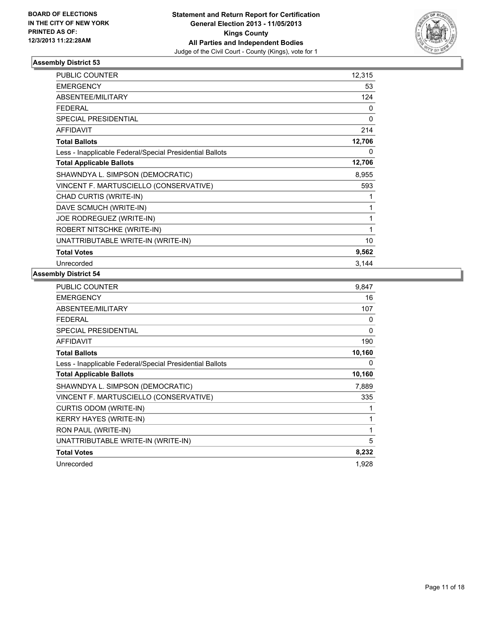

| <b>PUBLIC COUNTER</b>                                    | 12,315 |
|----------------------------------------------------------|--------|
| <b>EMERGENCY</b>                                         | 53     |
| ABSENTEE/MILITARY                                        | 124    |
| <b>FEDERAL</b>                                           | 0      |
| SPECIAL PRESIDENTIAL                                     | 0      |
| AFFIDAVIT                                                | 214    |
| <b>Total Ballots</b>                                     | 12,706 |
| Less - Inapplicable Federal/Special Presidential Ballots | 0      |
| <b>Total Applicable Ballots</b>                          | 12,706 |
| SHAWNDYA L. SIMPSON (DEMOCRATIC)                         | 8,955  |
| VINCENT F. MARTUSCIELLO (CONSERVATIVE)                   | 593    |
| CHAD CURTIS (WRITE-IN)                                   | 1      |
| DAVE SCMUCH (WRITE-IN)                                   | 1      |
| JOE RODREGUEZ (WRITE-IN)                                 | 1      |
| ROBERT NITSCHKE (WRITE-IN)                               | 1      |
| UNATTRIBUTABLE WRITE-IN (WRITE-IN)                       | 10     |
| <b>Total Votes</b>                                       | 9,562  |
| Unrecorded                                               | 3,144  |

| <b>PUBLIC COUNTER</b>                                    | 9.847    |
|----------------------------------------------------------|----------|
| <b>EMERGENCY</b>                                         | 16       |
| ABSENTEE/MILITARY                                        | 107      |
| FEDERAL                                                  | 0        |
| <b>SPECIAL PRESIDENTIAL</b>                              | $\Omega$ |
| <b>AFFIDAVIT</b>                                         | 190      |
| <b>Total Ballots</b>                                     | 10,160   |
| Less - Inapplicable Federal/Special Presidential Ballots | 0        |
| <b>Total Applicable Ballots</b>                          | 10,160   |
| SHAWNDYA L. SIMPSON (DEMOCRATIC)                         | 7,889    |
| VINCENT F. MARTUSCIELLO (CONSERVATIVE)                   | 335      |
| CURTIS ODOM (WRITE-IN)                                   | 1        |
| <b>KERRY HAYES (WRITE-IN)</b>                            | 1        |
| RON PAUL (WRITE-IN)                                      | 1        |
| UNATTRIBUTABLE WRITE-IN (WRITE-IN)                       | 5        |
| <b>Total Votes</b>                                       | 8,232    |
| Unrecorded                                               | 1,928    |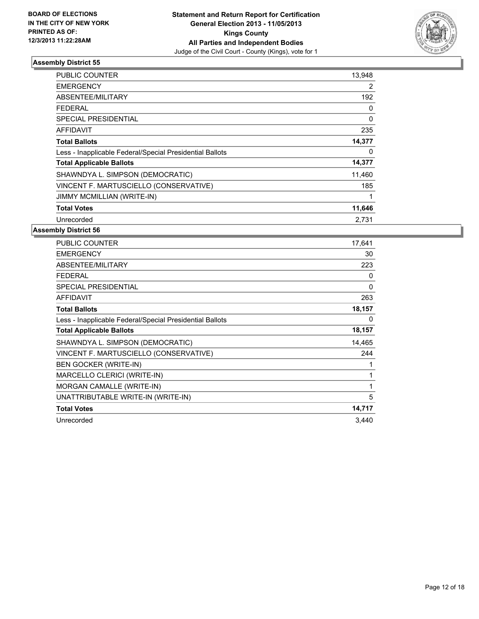

| PUBLIC COUNTER                                           | 13,948 |
|----------------------------------------------------------|--------|
| <b>EMERGENCY</b>                                         | 2      |
| ABSENTEE/MILITARY                                        | 192    |
| FEDERAL                                                  | 0      |
| SPECIAL PRESIDENTIAL                                     | 0      |
| <b>AFFIDAVIT</b>                                         | 235    |
| <b>Total Ballots</b>                                     | 14,377 |
| Less - Inapplicable Federal/Special Presidential Ballots | 0      |
| <b>Total Applicable Ballots</b>                          | 14,377 |
| SHAWNDYA L. SIMPSON (DEMOCRATIC)                         | 11,460 |
| VINCENT F. MARTUSCIELLO (CONSERVATIVE)                   | 185    |
| <b>JIMMY MCMILLIAN (WRITE-IN)</b>                        | 1      |
| <b>Total Votes</b>                                       | 11,646 |
| Unrecorded                                               | 2.731  |

| <b>PUBLIC COUNTER</b>                                    | 17,641 |
|----------------------------------------------------------|--------|
| <b>EMERGENCY</b>                                         | 30     |
| ABSENTEE/MILITARY                                        | 223    |
| <b>FEDERAL</b>                                           | 0      |
| <b>SPECIAL PRESIDENTIAL</b>                              | 0      |
| <b>AFFIDAVIT</b>                                         | 263    |
| <b>Total Ballots</b>                                     | 18,157 |
| Less - Inapplicable Federal/Special Presidential Ballots | 0      |
| <b>Total Applicable Ballots</b>                          | 18,157 |
| SHAWNDYA L. SIMPSON (DEMOCRATIC)                         | 14,465 |
| VINCENT F. MARTUSCIELLO (CONSERVATIVE)                   | 244    |
| <b>BEN GOCKER (WRITE-IN)</b>                             | 1      |
| MARCELLO CLERICI (WRITE-IN)                              | 1      |
| MORGAN CAMALLE (WRITE-IN)                                | 1      |
| UNATTRIBUTABLE WRITE-IN (WRITE-IN)                       | 5      |
| <b>Total Votes</b>                                       | 14,717 |
| Unrecorded                                               | 3.440  |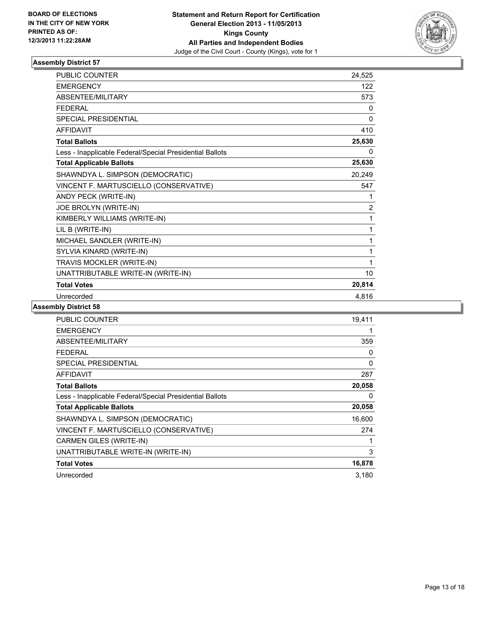

| PUBLIC COUNTER                                           | 24,525 |
|----------------------------------------------------------|--------|
| <b>EMERGENCY</b>                                         | 122    |
| <b>ABSENTEE/MILITARY</b>                                 | 573    |
| <b>FEDERAL</b>                                           | 0      |
| <b>SPECIAL PRESIDENTIAL</b>                              | 0      |
| <b>AFFIDAVIT</b>                                         | 410    |
| <b>Total Ballots</b>                                     | 25,630 |
| Less - Inapplicable Federal/Special Presidential Ballots | 0      |
| <b>Total Applicable Ballots</b>                          | 25,630 |
| SHAWNDYA L. SIMPSON (DEMOCRATIC)                         | 20,249 |
| VINCENT F. MARTUSCIELLO (CONSERVATIVE)                   | 547    |
| ANDY PECK (WRITE-IN)                                     | 1      |
| JOE BROLYN (WRITE-IN)                                    | 2      |
| KIMBERLY WILLIAMS (WRITE-IN)                             | 1      |
| LIL B (WRITE-IN)                                         | 1      |
| MICHAEL SANDLER (WRITE-IN)                               | 1      |
| SYLVIA KINARD (WRITE-IN)                                 | 1      |
| TRAVIS MOCKLER (WRITE-IN)                                | 1      |
| UNATTRIBUTABLE WRITE-IN (WRITE-IN)                       | 10     |
| <b>Total Votes</b>                                       | 20,814 |
| Unrecorded                                               | 4,816  |

| <b>PUBLIC COUNTER</b>                                    | 19,411 |
|----------------------------------------------------------|--------|
| <b>EMERGENCY</b>                                         |        |
| ABSENTEE/MILITARY                                        | 359    |
| <b>FEDERAL</b>                                           | 0      |
| SPECIAL PRESIDENTIAL                                     | 0      |
| <b>AFFIDAVIT</b>                                         | 287    |
| <b>Total Ballots</b>                                     | 20,058 |
| Less - Inapplicable Federal/Special Presidential Ballots | 0      |
| <b>Total Applicable Ballots</b>                          | 20,058 |
| SHAWNDYA L. SIMPSON (DEMOCRATIC)                         | 16,600 |
| VINCENT F. MARTUSCIELLO (CONSERVATIVE)                   | 274    |
| <b>CARMEN GILES (WRITE-IN)</b>                           |        |
| UNATTRIBUTABLE WRITE-IN (WRITE-IN)                       | 3      |
| <b>Total Votes</b>                                       | 16,878 |
| Unrecorded                                               | 3,180  |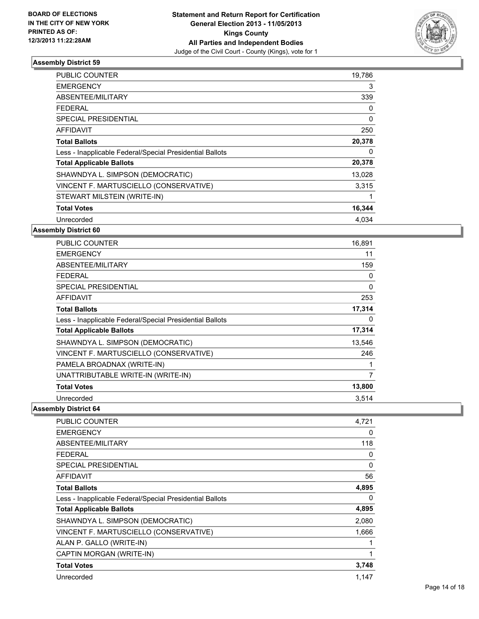

| PUBLIC COUNTER                                           | 19,786 |
|----------------------------------------------------------|--------|
| <b>EMERGENCY</b>                                         | 3      |
| ABSENTEE/MILITARY                                        | 339    |
| FEDERAL                                                  | 0      |
| SPECIAL PRESIDENTIAL                                     | 0      |
| <b>AFFIDAVIT</b>                                         | 250    |
| <b>Total Ballots</b>                                     | 20,378 |
| Less - Inapplicable Federal/Special Presidential Ballots | 0      |
| <b>Total Applicable Ballots</b>                          | 20,378 |
| SHAWNDYA L. SIMPSON (DEMOCRATIC)                         | 13,028 |
| VINCENT F. MARTUSCIELLO (CONSERVATIVE)                   | 3,315  |
| STEWART MILSTEIN (WRITE-IN)                              |        |
| <b>Total Votes</b>                                       | 16,344 |
| Unrecorded                                               | 4.034  |

#### **Assembly District 60**

| <b>PUBLIC COUNTER</b>                                    | 16,891 |
|----------------------------------------------------------|--------|
| <b>EMERGENCY</b>                                         | 11     |
| ABSENTEE/MILITARY                                        | 159    |
| <b>FEDERAL</b>                                           | 0      |
| <b>SPECIAL PRESIDENTIAL</b>                              | 0      |
| <b>AFFIDAVIT</b>                                         | 253    |
| <b>Total Ballots</b>                                     | 17,314 |
| Less - Inapplicable Federal/Special Presidential Ballots | 0      |
| <b>Total Applicable Ballots</b>                          | 17,314 |
| SHAWNDYA L. SIMPSON (DEMOCRATIC)                         | 13,546 |
| VINCENT F. MARTUSCIELLO (CONSERVATIVE)                   | 246    |
| PAMELA BROADNAX (WRITE-IN)                               | 1      |
| UNATTRIBUTABLE WRITE-IN (WRITE-IN)                       | 7      |
| <b>Total Votes</b>                                       | 13,800 |
| Unrecorded                                               | 3,514  |

| PUBLIC COUNTER                                           | 4,721 |
|----------------------------------------------------------|-------|
| <b>EMERGENCY</b>                                         | 0     |
| ABSENTEE/MILITARY                                        | 118   |
| <b>FEDERAL</b>                                           | 0     |
| SPECIAL PRESIDENTIAL                                     | 0     |
| AFFIDAVIT                                                | 56    |
| <b>Total Ballots</b>                                     | 4,895 |
| Less - Inapplicable Federal/Special Presidential Ballots | 0     |
| <b>Total Applicable Ballots</b>                          | 4,895 |
| SHAWNDYA L. SIMPSON (DEMOCRATIC)                         | 2,080 |
| VINCENT F. MARTUSCIELLO (CONSERVATIVE)                   | 1,666 |
| ALAN P. GALLO (WRITE-IN)                                 |       |
| CAPTIN MORGAN (WRITE-IN)                                 | 1     |
| <b>Total Votes</b>                                       | 3,748 |
| Unrecorded                                               | 1,147 |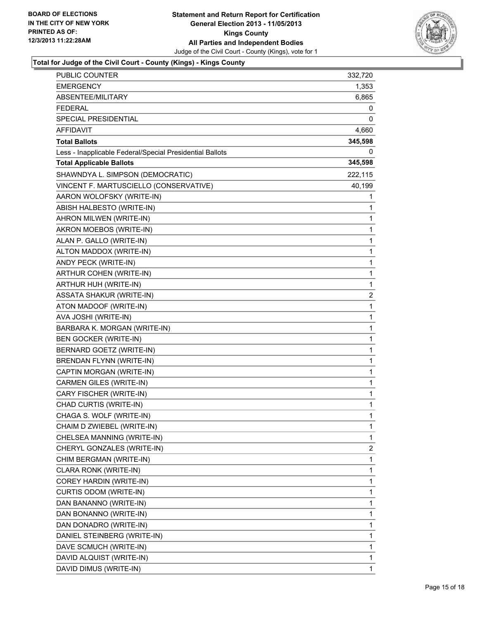

### **Total for Judge of the Civil Court - County (Kings) - Kings County**

| <b>PUBLIC COUNTER</b>                                    | 332,720        |
|----------------------------------------------------------|----------------|
| <b>EMERGENCY</b>                                         | 1,353          |
| ABSENTEE/MILITARY                                        | 6,865          |
| <b>FEDERAL</b>                                           | 0              |
| SPECIAL PRESIDENTIAL                                     | 0              |
| <b>AFFIDAVIT</b>                                         | 4,660          |
| <b>Total Ballots</b>                                     | 345,598        |
| Less - Inapplicable Federal/Special Presidential Ballots | $\Omega$       |
| <b>Total Applicable Ballots</b>                          | 345,598        |
| SHAWNDYA L. SIMPSON (DEMOCRATIC)                         | 222,115        |
| VINCENT F. MARTUSCIELLO (CONSERVATIVE)                   | 40,199         |
| AARON WOLOFSKY (WRITE-IN)                                | 1              |
| ABISH HALBESTO (WRITE-IN)                                | 1              |
| AHRON MILWEN (WRITE-IN)                                  | 1              |
| AKRON MOEBOS (WRITE-IN)                                  | 1              |
| ALAN P. GALLO (WRITE-IN)                                 | 1              |
| ALTON MADDOX (WRITE-IN)                                  | $\mathbf{1}$   |
| ANDY PECK (WRITE-IN)                                     | 1              |
| ARTHUR COHEN (WRITE-IN)                                  | 1              |
| ARTHUR HUH (WRITE-IN)                                    | $\mathbf{1}$   |
| <b>ASSATA SHAKUR (WRITE-IN)</b>                          | 2              |
| ATON MADOOF (WRITE-IN)                                   | 1              |
| AVA JOSHI (WRITE-IN)                                     | $\mathbf{1}$   |
| BARBARA K. MORGAN (WRITE-IN)                             | 1              |
| <b>BEN GOCKER (WRITE-IN)</b>                             | 1              |
| BERNARD GOETZ (WRITE-IN)                                 | $\mathbf{1}$   |
| BRENDAN FLYNN (WRITE-IN)                                 | 1              |
| CAPTIN MORGAN (WRITE-IN)                                 | 1              |
| CARMEN GILES (WRITE-IN)                                  | $\mathbf{1}$   |
| CARY FISCHER (WRITE-IN)                                  | 1              |
| CHAD CURTIS (WRITE-IN)                                   | 1              |
| CHAGA S. WOLF (WRITE-IN)                                 | 1              |
| CHAIM D ZWIEBEL (WRITE-IN)                               | 1              |
| CHELSEA MANNING (WRITE-IN)                               | 1              |
| CHERYL GONZALES (WRITE-IN)                               | $\overline{c}$ |
| CHIM BERGMAN (WRITE-IN)                                  | 1              |
| CLARA RONK (WRITE-IN)                                    | 1              |
| COREY HARDIN (WRITE-IN)                                  | 1              |
| CURTIS ODOM (WRITE-IN)                                   | 1              |
| DAN BANANNO (WRITE-IN)                                   | 1              |
| DAN BONANNO (WRITE-IN)                                   | 1              |
| DAN DONADRO (WRITE-IN)                                   | 1              |
| DANIEL STEINBERG (WRITE-IN)                              | 1              |
| DAVE SCMUCH (WRITE-IN)                                   | 1              |
| DAVID ALQUIST (WRITE-IN)                                 | 1              |
| DAVID DIMUS (WRITE-IN)                                   | 1              |
|                                                          |                |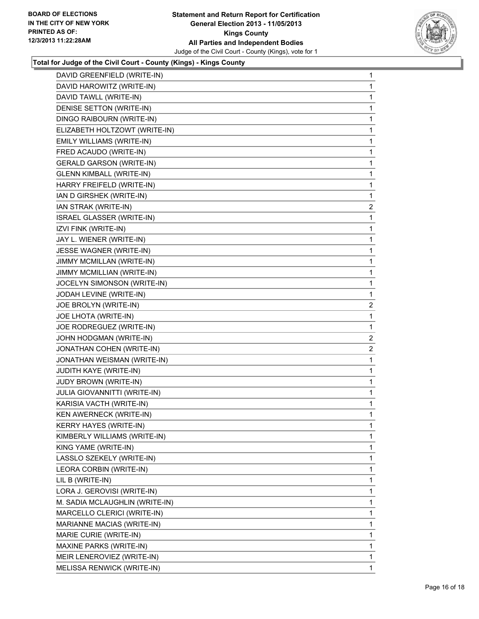

## **Total for Judge of the Civil Court - County (Kings) - Kings County**

|                      | DAVID GREENFIELD (WRITE-IN)      | $\mathbf{1}$   |
|----------------------|----------------------------------|----------------|
|                      | DAVID HAROWITZ (WRITE-IN)        | 1              |
|                      | DAVID TAWLL (WRITE-IN)           | 1              |
|                      | DENISE SETTON (WRITE-IN)         | 1              |
|                      | DINGO RAIBOURN (WRITE-IN)        | 1              |
|                      | ELIZABETH HOLTZOWT (WRITE-IN)    | 1              |
|                      | EMILY WILLIAMS (WRITE-IN)        | 1              |
|                      | FRED ACAUDO (WRITE-IN)           | 1              |
|                      | <b>GERALD GARSON (WRITE-IN)</b>  | 1              |
|                      | <b>GLENN KIMBALL (WRITE-IN)</b>  | 1              |
|                      | HARRY FREIFELD (WRITE-IN)        | 1              |
|                      | IAN D GIRSHEK (WRITE-IN)         | 1              |
|                      | IAN STRAK (WRITE-IN)             | 2              |
|                      | <b>ISRAEL GLASSER (WRITE-IN)</b> | 1              |
| IZVI FINK (WRITE-IN) |                                  | 1              |
|                      | JAY L. WIENER (WRITE-IN)         | 1              |
|                      | JESSE WAGNER (WRITE-IN)          | 1              |
|                      | JIMMY MCMILLAN (WRITE-IN)        | 1              |
|                      | JIMMY MCMILLIAN (WRITE-IN)       | 1              |
|                      | JOCELYN SIMONSON (WRITE-IN)      | 1              |
|                      | JODAH LEVINE (WRITE-IN)          | 1              |
|                      | JOE BROLYN (WRITE-IN)            | $\overline{2}$ |
|                      | JOE LHOTA (WRITE-IN)             | 1              |
|                      | JOE RODREGUEZ (WRITE-IN)         | 1              |
|                      | JOHN HODGMAN (WRITE-IN)          | $\overline{2}$ |
|                      | JONATHAN COHEN (WRITE-IN)        | $\overline{c}$ |
|                      | JONATHAN WEISMAN (WRITE-IN)      | 1              |
|                      | JUDITH KAYE (WRITE-IN)           | 1              |
|                      | JUDY BROWN (WRITE-IN)            | 1              |
|                      | JULIA GIOVANNITTI (WRITE-IN)     | 1              |
|                      | KARISIA VACTH (WRITE-IN)         | 1              |
|                      | KEN AWERNECK (WRITE-IN)          | 1              |
|                      | <b>KERRY HAYES (WRITE-IN)</b>    | 1              |
|                      | KIMBERLY WILLIAMS (WRITE-IN)     | $\mathbf{1}$   |
|                      | KING YAME (WRITE-IN)             | 1              |
|                      | LASSLO SZEKELY (WRITE-IN)        | 1              |
|                      | LEORA CORBIN (WRITE-IN)          | 1              |
| LIL B (WRITE-IN)     |                                  | 1              |
|                      | LORA J. GEROVISI (WRITE-IN)      | 1              |
|                      | M. SADIA MCLAUGHLIN (WRITE-IN)   | 1              |
|                      | MARCELLO CLERICI (WRITE-IN)      | 1              |
|                      | MARIANNE MACIAS (WRITE-IN)       | 1              |
|                      | MARIE CURIE (WRITE-IN)           | 1              |
|                      | MAXINE PARKS (WRITE-IN)          | $\mathbf{1}$   |
|                      | MEIR LENEROVIEZ (WRITE-IN)       | 1              |
|                      | MELISSA RENWICK (WRITE-IN)       | $\mathbf{1}$   |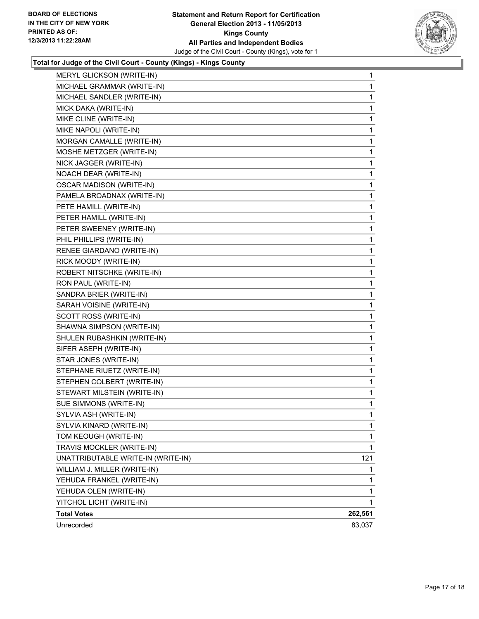

## **Total for Judge of the Civil Court - County (Kings) - Kings County**

| MERYL GLICKSON (WRITE-IN)          | 1       |
|------------------------------------|---------|
| MICHAEL GRAMMAR (WRITE-IN)         | 1       |
| MICHAEL SANDLER (WRITE-IN)         | 1       |
| MICK DAKA (WRITE-IN)               | 1       |
| MIKE CLINE (WRITE-IN)              | 1       |
| MIKE NAPOLI (WRITE-IN)             | 1       |
| MORGAN CAMALLE (WRITE-IN)          | 1       |
| MOSHE METZGER (WRITE-IN)           | 1       |
| NICK JAGGER (WRITE-IN)             | 1       |
| NOACH DEAR (WRITE-IN)              | 1       |
| <b>OSCAR MADISON (WRITE-IN)</b>    | 1       |
| PAMELA BROADNAX (WRITE-IN)         | 1       |
| PETE HAMILL (WRITE-IN)             | 1       |
| PETER HAMILL (WRITE-IN)            | 1       |
| PETER SWEENEY (WRITE-IN)           | 1       |
| PHIL PHILLIPS (WRITE-IN)           | 1       |
| RENEE GIARDANO (WRITE-IN)          | 1       |
| RICK MOODY (WRITE-IN)              | 1       |
| ROBERT NITSCHKE (WRITE-IN)         | 1       |
| RON PAUL (WRITE-IN)                | 1       |
| SANDRA BRIER (WRITE-IN)            | 1       |
| SARAH VOISINE (WRITE-IN)           | 1       |
| SCOTT ROSS (WRITE-IN)              | 1       |
| SHAWNA SIMPSON (WRITE-IN)          | 1       |
| SHULEN RUBASHKIN (WRITE-IN)        | 1       |
| SIFER ASEPH (WRITE-IN)             | 1       |
| STAR JONES (WRITE-IN)              | 1       |
| STEPHANE RIUETZ (WRITE-IN)         | 1       |
| STEPHEN COLBERT (WRITE-IN)         | 1       |
| STEWART MILSTEIN (WRITE-IN)        | 1       |
| SUE SIMMONS (WRITE-IN)             | 1       |
| SYLVIA ASH (WRITE-IN)              | 1       |
| SYLVIA KINARD (WRITE-IN)           | 1       |
| TOM KEOUGH (WRITE-IN)              | 1       |
| TRAVIS MOCKLER (WRITE-IN)          | 1       |
| UNATTRIBUTABLE WRITE-IN (WRITE-IN) | 121     |
| WILLIAM J. MILLER (WRITE-IN)       | 1       |
| YEHUDA FRANKEL (WRITE-IN)          | 1       |
| YEHUDA OLEN (WRITE-IN)             | 1       |
| YITCHOL LICHT (WRITE-IN)           | 1       |
| <b>Total Votes</b>                 | 262,561 |
| Unrecorded                         | 83,037  |